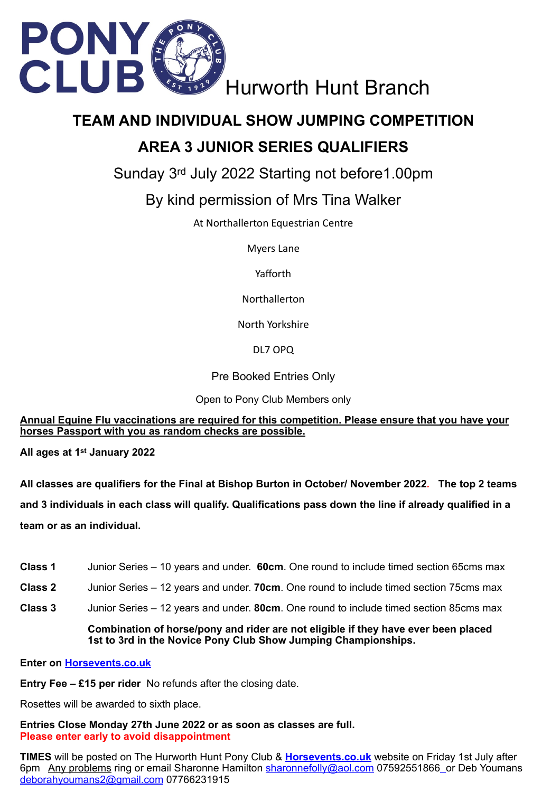

# **TEAM AND INDIVIDUAL SHOW JUMPING COMPETITION AREA 3 JUNIOR SERIES QUALIFIERS**

Sunday 3rd July 2022 Starting not before1.00pm

## By kind permission of Mrs Tina Walker

At Northallerton Equestrian Centre

Myers Lane

Yafforth

Northallerton

North Yorkshire

DL7 OPQ

Pre Booked Entries Only

Open to Pony Club Members only

**Annual Equine Flu vaccinations are required for this competition. Please ensure that you have your horses Passport with you as random checks are possible.** 

**All ages at 1st January 2022**

**All classes are qualifiers for the Final at Bishop Burton in October/ November 2022***.* **The top 2 teams and 3 individuals in each class will qualify. Qualifications pass down the line if already qualified in a team or as an individual.** 

- **Class 1** Junior Series 10 years and under. **60cm**. One round to include timed section 65cms max
- **Class 2** Junior Series 12 years and under. **70cm**. One round to include timed section 75cms max
- **Class 3** Junior Series 12 years and under. **80cm**. One round to include timed section 85cms max **Combination of horse/pony and rider are not eligible if they have ever been placed**

**1st to 3rd in the Novice Pony Club Show Jumping Championships.** 

**Enter on Horsevents.co.uk**

**Entry Fee – £15 per rider** No refunds after the closing date.

Rosettes will be awarded to sixth place.

**Entries Close Monday 27th June 2022 or as soon as classes are full. Please enter early to avoid disappointment** 

**TIMES** will be posted on The Hurworth Hunt Pony Club & **Horsevents.co.uk** website on Friday 1st July after 6pm Any problems ring or email Sharonne Hamilton [sharonnefolly@aol.com](mailto:sharonnefolly@aol.com) 07592551866 or Deb Youmans [deborahyoumans2@gmail.com](mailto:deborahyoumans2@gmail.com) 07766231915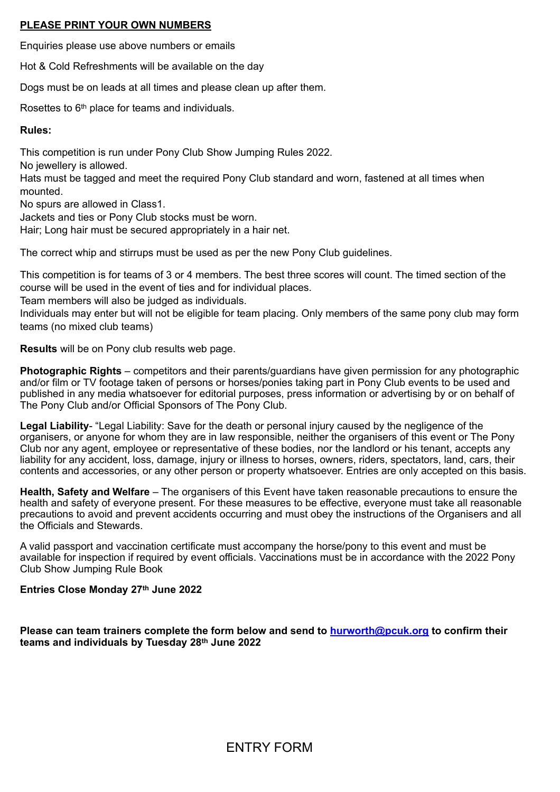### **PLEASE PRINT YOUR OWN NUMBERS**

Enquiries please use above numbers or emails

Hot & Cold Refreshments will be available on the day

Dogs must be on leads at all times and please clean up after them.

Rosettes to 6th place for teams and individuals.

#### **Rules:**

This competition is run under Pony Club Show Jumping Rules 2022.

No jewellery is allowed.

Hats must be tagged and meet the required Pony Club standard and worn, fastened at all times when mounted.

No spurs are allowed in Class1.

Jackets and ties or Pony Club stocks must be worn.

Hair; Long hair must be secured appropriately in a hair net.

The correct whip and stirrups must be used as per the new Pony Club guidelines.

This competition is for teams of 3 or 4 members. The best three scores will count. The timed section of the course will be used in the event of ties and for individual places.

Team members will also be judged as individuals.

Individuals may enter but will not be eligible for team placing. Only members of the same pony club may form teams (no mixed club teams)

**Results** will be on Pony club results web page.

**Photographic Rights** – competitors and their parents/guardians have given permission for any photographic and/or film or TV footage taken of persons or horses/ponies taking part in Pony Club events to be used and published in any media whatsoever for editorial purposes, press information or advertising by or on behalf of The Pony Club and/or Official Sponsors of The Pony Club.

**Legal Liability**- "Legal Liability: Save for the death or personal injury caused by the negligence of the organisers, or anyone for whom they are in law responsible, neither the organisers of this event or The Pony Club nor any agent, employee or representative of these bodies, nor the landlord or his tenant, accepts any liability for any accident, loss, damage, injury or illness to horses, owners, riders, spectators, land, cars, their contents and accessories, or any other person or property whatsoever. Entries are only accepted on this basis.

**Health, Safety and Welfare** – The organisers of this Event have taken reasonable precautions to ensure the health and safety of everyone present. For these measures to be effective, everyone must take all reasonable precautions to avoid and prevent accidents occurring and must obey the instructions of the Organisers and all the Officials and Stewards.

A valid passport and vaccination certificate must accompany the horse/pony to this event and must be available for inspection if required by event officials. Vaccinations must be in accordance with the 2022 Pony Club Show Jumping Rule Book

#### **Entries Close Monday 27th June 2022**

**Please can team trainers complete the form below and send to [hurworth@pcuk.org](mailto:hurworth@pcuk.org) to confirm their teams and individuals by Tuesday 28th June 2022**